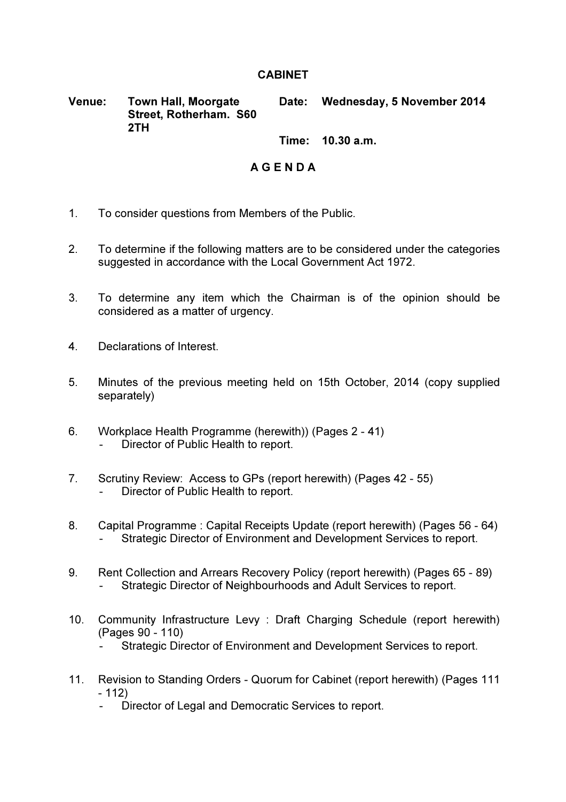## **CABINET**

Venue: Town Hall, Moorgate Street, Rotherham. S60 2TH Date: Wednesday, 5 November 2014

Time: 10.30 a.m.

## A G E N D A

- 1. To consider questions from Members of the Public.
- 2. To determine if the following matters are to be considered under the categories suggested in accordance with the Local Government Act 1972.
- 3. To determine any item which the Chairman is of the opinion should be considered as a matter of urgency.
- 4. Declarations of Interest.
- 5. Minutes of the previous meeting held on 15th October, 2014 (copy supplied separately)
- 6. Workplace Health Programme (herewith)) (Pages 2 41) Director of Public Health to report.
- 7. Scrutiny Review: Access to GPs (report herewith) (Pages 42 55) Director of Public Health to report.
- 8. Capital Programme : Capital Receipts Update (report herewith) (Pages 56 64) Strategic Director of Environment and Development Services to report.
- 9. Rent Collection and Arrears Recovery Policy (report herewith) (Pages 65 89) Strategic Director of Neighbourhoods and Adult Services to report.
- 10. Community Infrastructure Levy : Draft Charging Schedule (report herewith) (Pages 90 - 110)
	- Strategic Director of Environment and Development Services to report.
- 11. Revision to Standing Orders Quorum for Cabinet (report herewith) (Pages 111 - 112)
	- Director of Legal and Democratic Services to report.